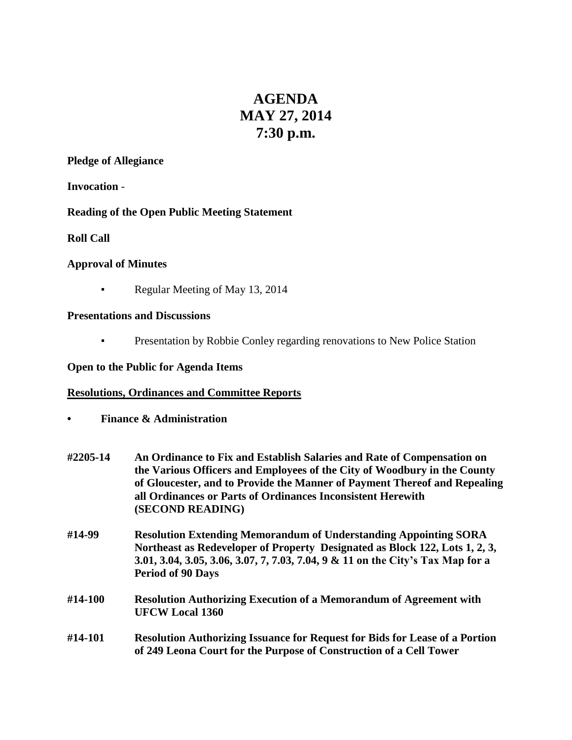# **AGENDA MAY 27, 2014 7:30 p.m.**

#### **Pledge of Allegiance**

**Invocation** -

#### **Reading of the Open Public Meeting Statement**

**Roll Call**

#### **Approval of Minutes**

**• Regular Meeting of May 13, 2014** 

#### **Presentations and Discussions**

▪ Presentation by Robbie Conley regarding renovations to New Police Station

#### **Open to the Public for Agenda Items**

#### **Resolutions, Ordinances and Committee Reports**

- **• Finance & Administration**
- **#2205-14 An Ordinance to Fix and Establish Salaries and Rate of Compensation on the Various Officers and Employees of the City of Woodbury in the County of Gloucester, and to Provide the Manner of Payment Thereof and Repealing all Ordinances or Parts of Ordinances Inconsistent Herewith (SECOND READING)**
- **#14-99 Resolution Extending Memorandum of Understanding Appointing SORA Northeast as Redeveloper of Property Designated as Block 122, Lots 1, 2, 3, 3.01, 3.04, 3.05, 3.06, 3.07, 7, 7.03, 7.04, 9 & 11 on the City's Tax Map for a Period of 90 Days**
- **#14-100 Resolution Authorizing Execution of a Memorandum of Agreement with UFCW Local 1360**
- **#14-101 Resolution Authorizing Issuance for Request for Bids for Lease of a Portion of 249 Leona Court for the Purpose of Construction of a Cell Tower**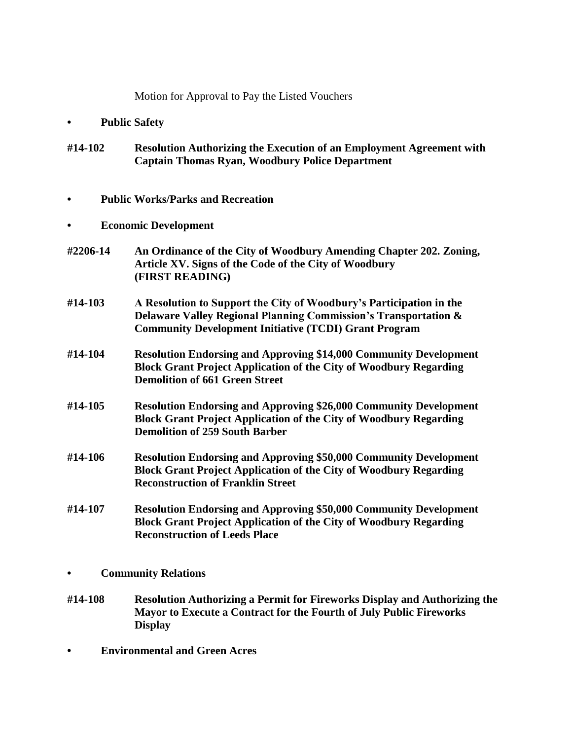Motion for Approval to Pay the Listed Vouchers

- **• Public Safety**
- **#14-102 Resolution Authorizing the Execution of an Employment Agreement with Captain Thomas Ryan, Woodbury Police Department**
- **• Public Works/Parks and Recreation**
- **• Economic Development**
- **#2206-14 An Ordinance of the City of Woodbury Amending Chapter 202. Zoning, Article XV. Signs of the Code of the City of Woodbury (FIRST READING)**
- **#14-103 A Resolution to Support the City of Woodbury's Participation in the Delaware Valley Regional Planning Commission's Transportation & Community Development Initiative (TCDI) Grant Program**
- **#14-104 Resolution Endorsing and Approving \$14,000 Community Development Block Grant Project Application of the City of Woodbury Regarding Demolition of 661 Green Street**
- **#14-105 Resolution Endorsing and Approving \$26,000 Community Development Block Grant Project Application of the City of Woodbury Regarding Demolition of 259 South Barber**
- **#14-106 Resolution Endorsing and Approving \$50,000 Community Development Block Grant Project Application of the City of Woodbury Regarding Reconstruction of Franklin Street**
- **#14-107 Resolution Endorsing and Approving \$50,000 Community Development Block Grant Project Application of the City of Woodbury Regarding Reconstruction of Leeds Place**
- **• Community Relations**
- **#14-108 Resolution Authorizing a Permit for Fireworks Display and Authorizing the Mayor to Execute a Contract for the Fourth of July Public Fireworks Display**
- **• Environmental and Green Acres**